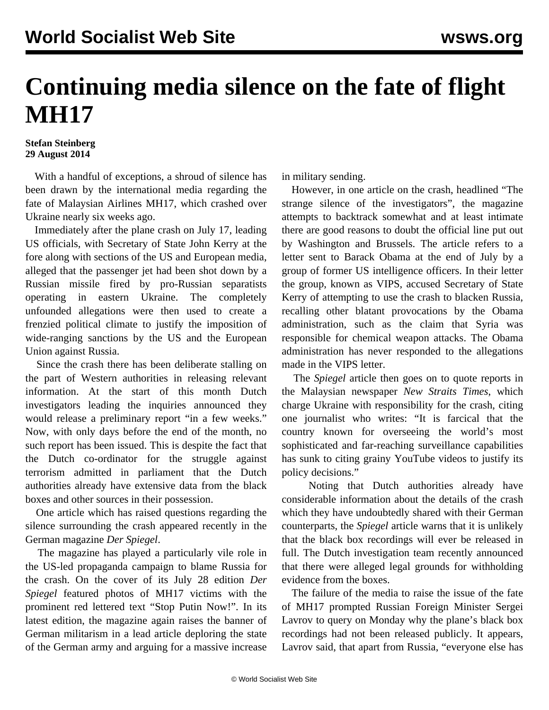## **Continuing media silence on the fate of flight MH17**

## **Stefan Steinberg 29 August 2014**

 With a handful of exceptions, a shroud of silence has been drawn by the international media regarding the fate of Malaysian Airlines MH17, which crashed over Ukraine nearly six weeks ago.

 Immediately after the plane crash on July 17, leading US officials, with Secretary of State John Kerry at the fore along with sections of the US and European media, alleged that the passenger jet had been shot down by a Russian missile fired by pro-Russian separatists operating in eastern Ukraine. The completely unfounded allegations were then used to create a frenzied political climate to justify the imposition of wide-ranging sanctions by the US and the European Union against Russia.

 Since the crash there has been deliberate stalling on the part of Western authorities in releasing relevant information. At the start of this month Dutch investigators leading the inquiries announced they would release a preliminary report "in a few weeks." Now, with only days before the end of the month, no such report has been issued. This is despite the fact that the Dutch co-ordinator for the struggle against terrorism admitted in parliament that the Dutch authorities already have extensive data from the black boxes and other sources in their possession.

 One article which has raised questions regarding the silence surrounding the crash appeared recently in the German magazine *Der Spiegel*.

 The magazine has played a particularly vile role in the US-led propaganda campaign to blame Russia for the crash. On the cover of its July 28 edition *Der Spiegel* featured photos of MH17 victims with the prominent red lettered text "Stop Putin Now!". In its latest edition, the magazine again raises the banner of German militarism in a lead article deploring the state of the German army and arguing for a massive increase

in military sending.

 However, in one article on the crash, headlined "The strange silence of the investigators", the magazine attempts to backtrack somewhat and at least intimate there are good reasons to doubt the official line put out by Washington and Brussels. The article refers to a letter sent to Barack Obama at the end of July by a group of former US intelligence officers. In their letter the group, known as VIPS, accused Secretary of State Kerry of attempting to use the crash to blacken Russia, recalling other blatant provocations by the Obama administration, such as the claim that Syria was responsible for chemical weapon attacks. The Obama administration has never responded to the allegations made in the VIPS letter.

 The *Spiegel* article then goes on to quote reports in the Malaysian newspaper *New Straits Times*, which charge Ukraine with responsibility for the crash, citing one journalist who writes: "It is farcical that the country known for overseeing the world's most sophisticated and far-reaching surveillance capabilities has sunk to citing grainy YouTube videos to justify its policy decisions."

 Noting that Dutch authorities already have considerable information about the details of the crash which they have undoubtedly shared with their German counterparts, the *Spiegel* article warns that it is unlikely that the black box recordings will ever be released in full. The Dutch investigation team recently announced that there were alleged legal grounds for withholding evidence from the boxes.

 The failure of the media to raise the issue of the fate of MH17 prompted Russian Foreign Minister Sergei Lavrov to query on Monday why the plane's black box recordings had not been released publicly. It appears, Lavrov said, that apart from Russia, "everyone else has